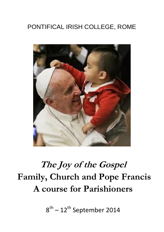## PONTIFICAL IRISH COLLEGE, ROME



## **The Joy of the Gospel Family, Church and Pope Francis A course for Parishioners**

 $8^{\text{th}}$  –  $12^{\text{th}}$  September 2014